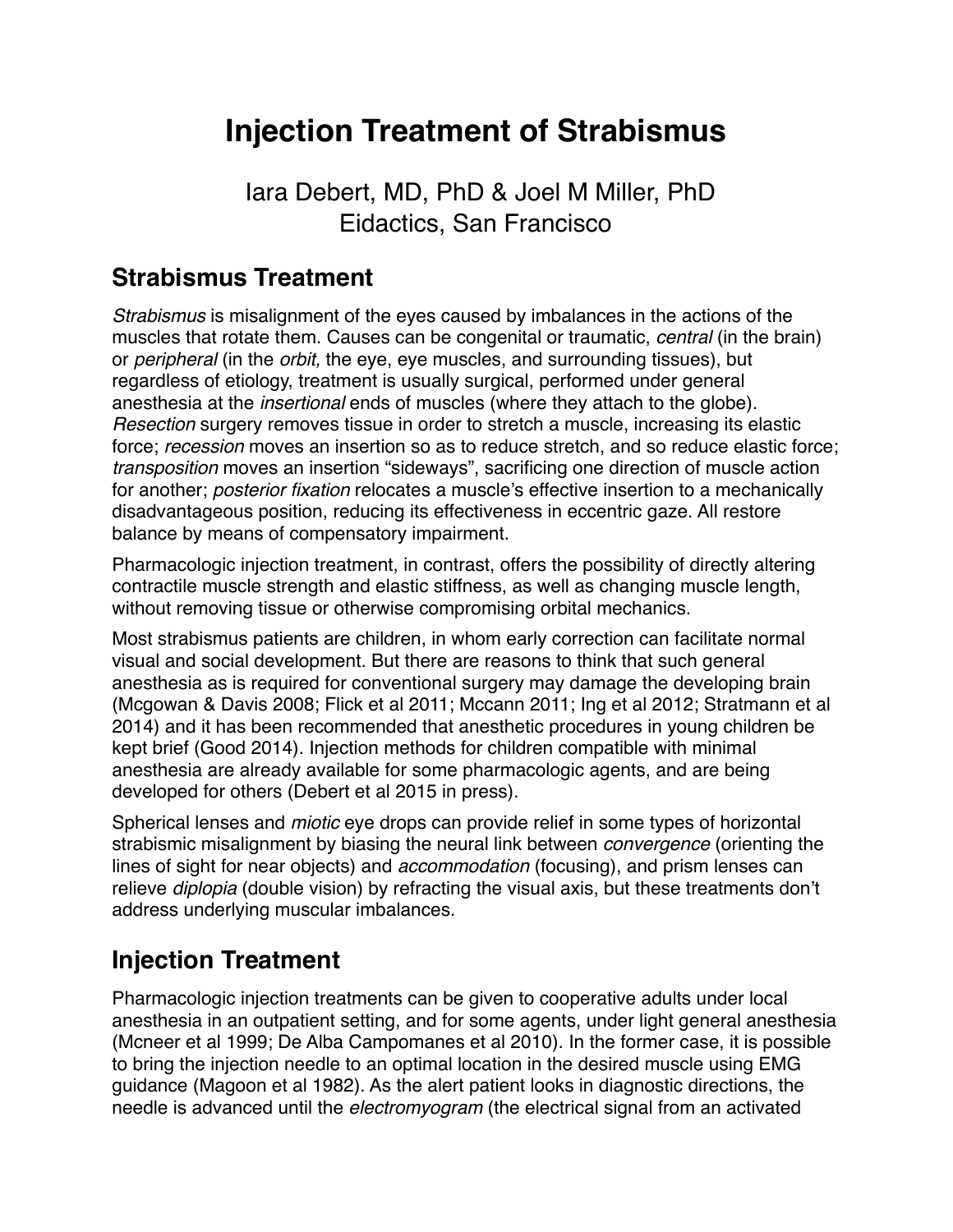# **Injection Treatment of Strabismus**

Iara Debert, MD, PhD & Joel M Miller, PhD Eidactics, San Francisco

### **Strabismus Treatment**

*Strabismus* is misalignment of the eyes caused by imbalances in the actions of the muscles that rotate them. Causes can be congenital or traumatic, *central* (in the brain) or *peripheral* (in the *orbit,* the eye, eye muscles, and surrounding tissues), but regardless of etiology, treatment is usually surgical, performed under general anesthesia at the *insertional* ends of muscles (where they attach to the globe). *Resection* surgery removes tissue in order to stretch a muscle, increasing its elastic force; *recession* moves an insertion so as to reduce stretch, and so reduce elastic force; *transposition* moves an insertion "sideways", sacrificing one direction of muscle action for another; *posterior fixation* relocates a muscle's effective insertion to a mechanically disadvantageous position, reducing its effectiveness in eccentric gaze. All restore balance by means of compensatory impairment.

Pharmacologic injection treatment, in contrast, offers the possibility of directly altering contractile muscle strength and elastic stiffness, as well as changing muscle length, without removing tissue or otherwise compromising orbital mechanics.

Most strabismus patients are children, in whom early correction can facilitate normal visual and social development. But there are reasons to think that such general anesthesia as is required for conventional surgery may damage the developing brain (Mcgowan & Davis 2008; Flick et al 2011; Mccann 2011; Ing et al 2012; Stratmann et al 2014) and it has been recommended that anesthetic procedures in young children be kept brief (Good 2014). Injection methods for children compatible with minimal anesthesia are already available for some pharmacologic agents, and are being developed for others (Debert et al 2015 in press).

Spherical lenses and *miotic* eye drops can provide relief in some types of horizontal strabismic misalignment by biasing the neural link between *convergence* (orienting the lines of sight for near objects) and *accommodation* (focusing), and prism lenses can relieve *diplopia* (double vision) by refracting the visual axis, but these treatments don't address underlying muscular imbalances.

# **Injection Treatment**

Pharmacologic injection treatments can be given to cooperative adults under local anesthesia in an outpatient setting, and for some agents, under light general anesthesia (Mcneer et al 1999; De Alba Campomanes et al 2010). In the former case, it is possible to bring the injection needle to an optimal location in the desired muscle using EMG guidance (Magoon et al 1982). As the alert patient looks in diagnostic directions, the needle is advanced until the *electromyogram* (the electrical signal from an activated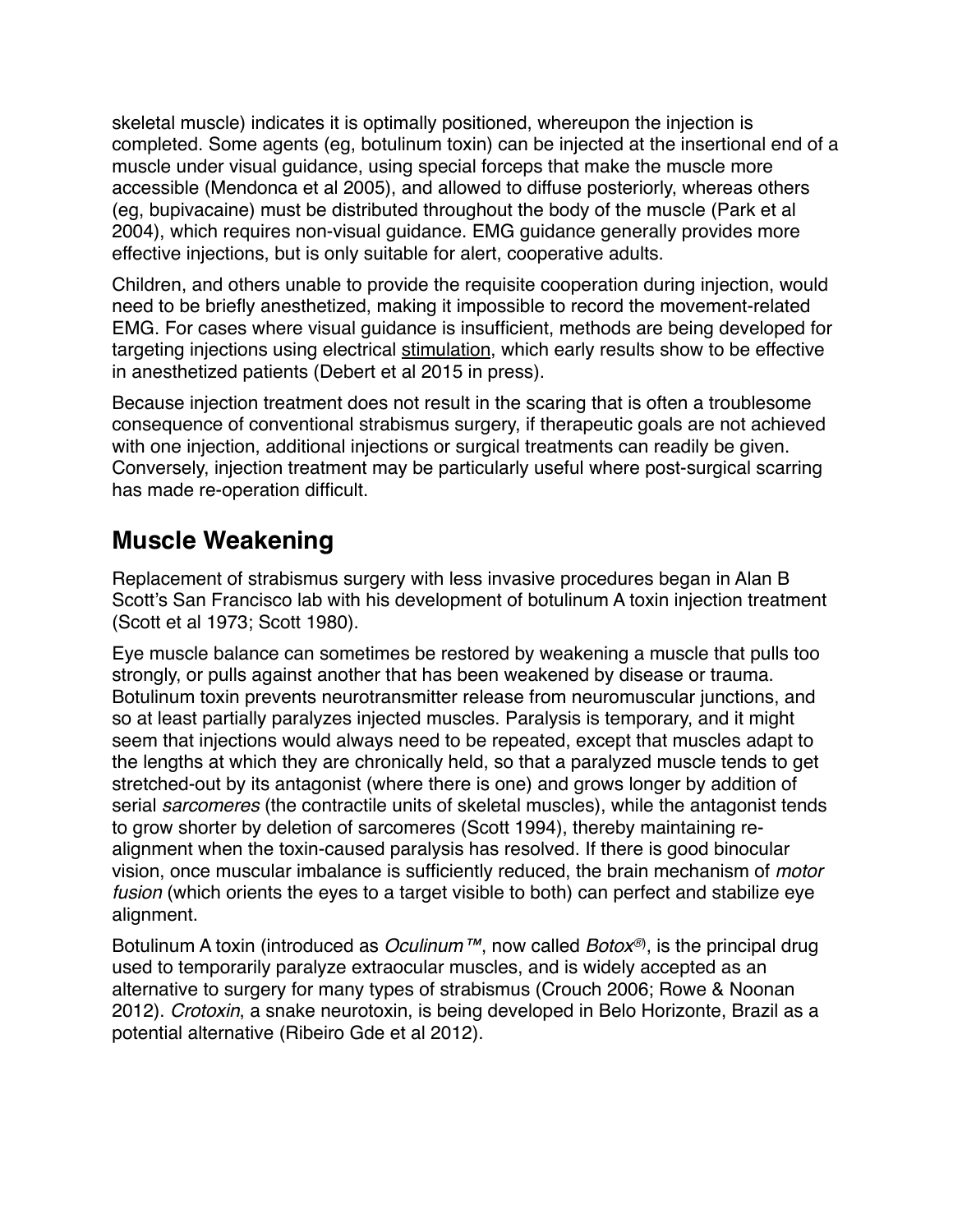skeletal muscle) indicates it is optimally positioned, whereupon the injection is completed. Some agents (eg, botulinum toxin) can be injected at the insertional end of a muscle under visual guidance, using special forceps that make the muscle more accessible (Mendonca et al 2005), and allowed to diffuse posteriorly, whereas others (eg, bupivacaine) must be distributed throughout the body of the muscle (Park et al 2004), which requires non-visual guidance. EMG guidance generally provides more effective injections, but is only suitable for alert, cooperative adults.

Children, and others unable to provide the requisite cooperation during injection, would need to be briefly anesthetized, making it impossible to record the movement-related EMG. For cases where visual guidance is insufficient, methods are being developed for targeting injections using electrical stimulation, which early results show to be effective in anesthetized patients (Debert et al 2015 in press).

Because injection treatment does not result in the scaring that is often a troublesome consequence of conventional strabismus surgery, if therapeutic goals are not achieved with one injection, additional injections or surgical treatments can readily be given. Conversely, injection treatment may be particularly useful where post-surgical scarring has made re-operation difficult.

### **Muscle Weakening**

Replacement of strabismus surgery with less invasive procedures began in Alan B Scott's San Francisco lab with his development of botulinum A toxin injection treatment (Scott et al 1973; Scott 1980).

Eye muscle balance can sometimes be restored by weakening a muscle that pulls too strongly, or pulls against another that has been weakened by disease or trauma. Botulinum toxin prevents neurotransmitter release from neuromuscular junctions, and so at least partially paralyzes injected muscles. Paralysis is temporary, and it might seem that injections would always need to be repeated, except that muscles adapt to the lengths at which they are chronically held, so that a paralyzed muscle tends to get stretched-out by its antagonist (where there is one) and grows longer by addition of serial *sarcomeres* (the contractile units of skeletal muscles), while the antagonist tends to grow shorter by deletion of sarcomeres (Scott 1994), thereby maintaining realignment when the toxin-caused paralysis has resolved. If there is good binocular vision, once muscular imbalance is sufficiently reduced, the brain mechanism of *motor fusion* (which orients the eyes to a target visible to both) can perfect and stabilize eye alignment.

Botulinum A toxin (introduced as *Oculinum™*, now called *Botox®*) , is the principal drug used to temporarily paralyze extraocular muscles, and is widely accepted as an alternative to surgery for many types of strabismus (Crouch 2006; Rowe & Noonan 2012). *Crotoxin*, a snake neurotoxin, is being developed in Belo Horizonte, Brazil as a potential alternative (Ribeiro Gde et al 2012).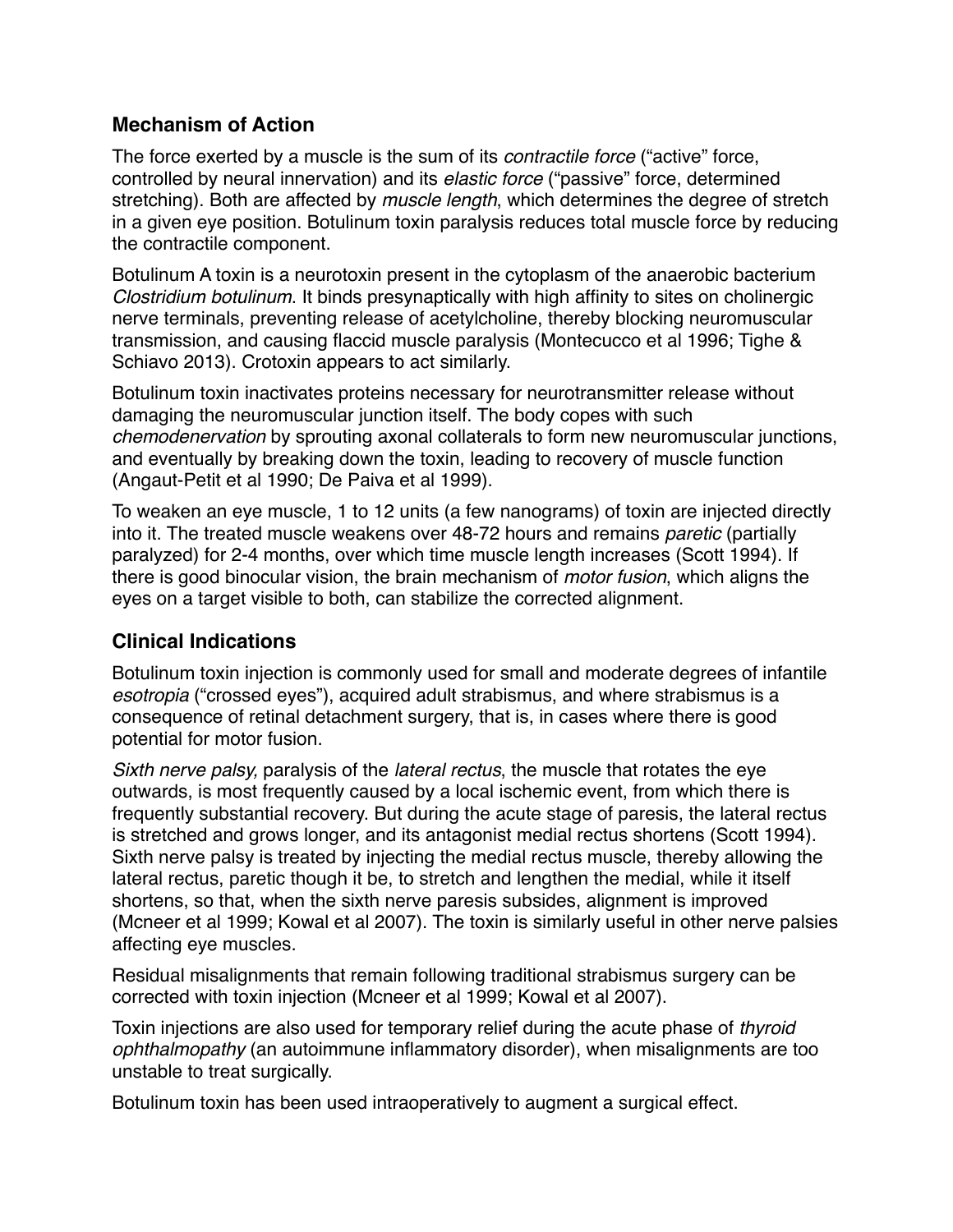#### **Mechanism of Action**

The force exerted by a muscle is the sum of its *contractile force* ("active" force, controlled by neural innervation) and its *elastic force* ("passive" force, determined stretching). Both are affected by *muscle length*, which determines the degree of stretch in a given eye position. Botulinum toxin paralysis reduces total muscle force by reducing the contractile component.

Botulinum A toxin is a neurotoxin present in the cytoplasm of the anaerobic bacterium *Clostridium botulinum*. It binds presynaptically with high affinity to sites on cholinergic nerve terminals, preventing release of acetylcholine, thereby blocking neuromuscular transmission, and causing flaccid muscle paralysis (Montecucco et al 1996; Tighe & Schiavo 2013). Crotoxin appears to act similarly.

Botulinum toxin inactivates proteins necessary for neurotransmitter release without damaging the neuromuscular junction itself. The body copes with such *chemodenervation* by sprouting axonal collaterals to form new neuromuscular junctions, and eventually by breaking down the toxin, leading to recovery of muscle function (Angaut-Petit et al 1990; De Paiva et al 1999).

To weaken an eye muscle, 1 to 12 units (a few nanograms) of toxin are injected directly into it. The treated muscle weakens over 48-72 hours and remains *paretic* (partially paralyzed) for 2-4 months, over which time muscle length increases (Scott 1994). If there is good binocular vision, the brain mechanism of *motor fusion*, which aligns the eyes on a target visible to both, can stabilize the corrected alignment.

#### **Clinical Indications**

Botulinum toxin injection is commonly used for small and moderate degrees of infantile *esotropia* ("crossed eyes"), acquired adult strabismus, and where strabismus is a consequence of retinal detachment surgery, that is, in cases where there is good potential for motor fusion.

*Sixth nerve palsy,* paralysis of the *lateral rectus*, the muscle that rotates the eye outwards, is most frequently caused by a local ischemic event, from which there is frequently substantial recovery. But during the acute stage of paresis, the lateral rectus is stretched and grows longer, and its antagonist medial rectus shortens (Scott 1994). Sixth nerve palsy is treated by injecting the medial rectus muscle, thereby allowing the lateral rectus, paretic though it be, to stretch and lengthen the medial, while it itself shortens, so that, when the sixth nerve paresis subsides, alignment is improved (Mcneer et al 1999; Kowal et al 2007). The toxin is similarly useful in other nerve palsies affecting eye muscles.

Residual misalignments that remain following traditional strabismus surgery can be corrected with toxin injection (Mcneer et al 1999; Kowal et al 2007).

Toxin injections are also used for temporary relief during the acute phase of *thyroid ophthalmopathy* (an autoimmune inflammatory disorder), when misalignments are too unstable to treat surgically.

Botulinum toxin has been used intraoperatively to augment a surgical effect.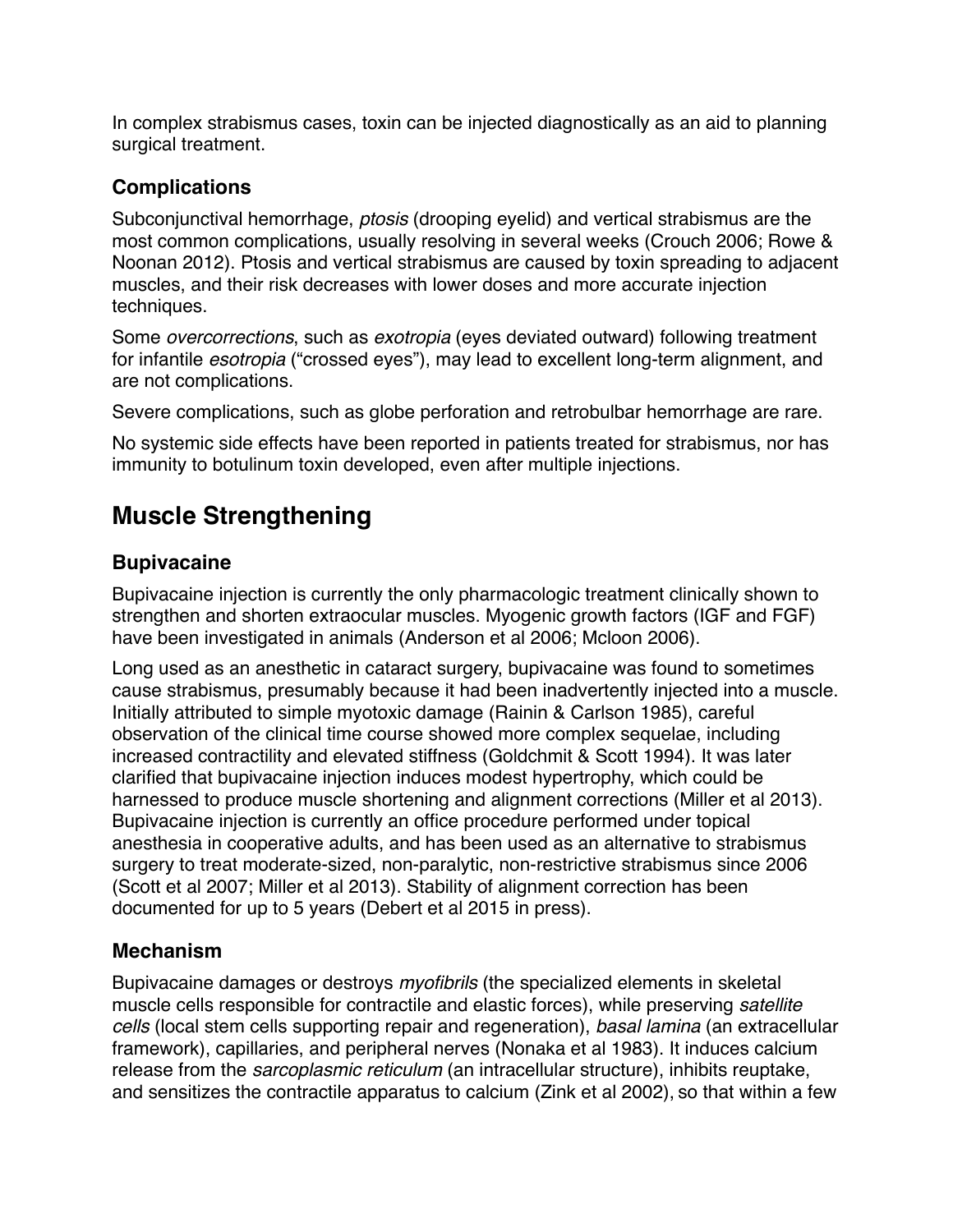In complex strabismus cases, toxin can be injected diagnostically as an aid to planning surgical treatment.

#### **Complications**

Subconjunctival hemorrhage, *ptosis* (drooping eyelid) and vertical strabismus are the most common complications, usually resolving in several weeks (Crouch 2006; Rowe & Noonan 2012). Ptosis and vertical strabismus are caused by toxin spreading to adjacent muscles, and their risk decreases with lower doses and more accurate injection techniques.

Some *overcorrections*, such as *exotropia* (eyes deviated outward) following treatment for infantile *esotropia* ("crossed eyes"), may lead to excellent long-term alignment, and are not complications.

Severe complications, such as globe perforation and retrobulbar hemorrhage are rare.

No systemic side effects have been reported in patients treated for strabismus, nor has immunity to botulinum toxin developed, even after multiple injections.

# **Muscle Strengthening**

#### **Bupivacaine**

Bupivacaine injection is currently the only pharmacologic treatment clinically shown to strengthen and shorten extraocular muscles. Myogenic growth factors (IGF and FGF) have been investigated in animals (Anderson et al 2006; Mcloon 2006).

Long used as an anesthetic in cataract surgery, bupivacaine was found to sometimes cause strabismus, presumably because it had been inadvertently injected into a muscle. Initially attributed to simple myotoxic damage (Rainin & Carlson 1985), careful observation of the clinical time course showed more complex sequelae, including increased contractility and elevated stiffness (Goldchmit & Scott 1994). It was later clarified that bupivacaine injection induces modest hypertrophy, which could be harnessed to produce muscle shortening and alignment corrections (Miller et al 2013). Bupivacaine injection is currently an office procedure performed under topical anesthesia in cooperative adults, and has been used as an alternative to strabismus surgery to treat moderate-sized, non-paralytic, non-restrictive strabismus since 2006 (Scott et al 2007; Miller et al 2013). Stability of alignment correction has been documented for up to 5 years (Debert et al 2015 in press).

#### **Mechanism**

Bupivacaine damages or destroys *myofibrils* (the specialized elements in skeletal muscle cells responsible for contractile and elastic forces), while preserving *satellite cells* (local stem cells supporting repair and regeneration), *basal lamina* (an extracellular framework), capillaries, and peripheral nerves (Nonaka et al 1983). It induces calcium release from the *sarcoplasmic reticulum* (an intracellular structure), inhibits reuptake, and sensitizes the contractile apparatus to calcium (Zink et al 2002), so that within a few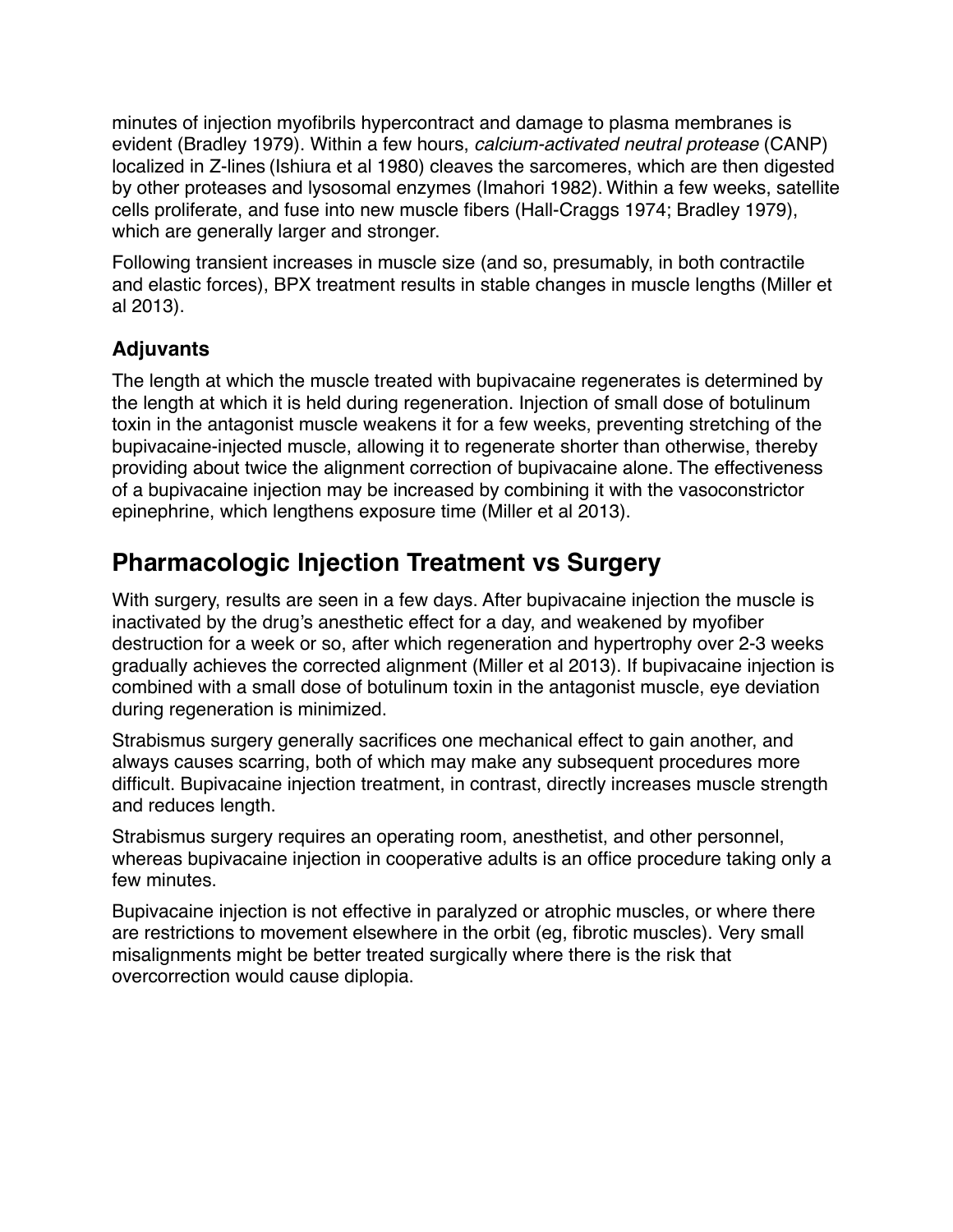minutes of injection myofibrils hypercontract and damage to plasma membranes is evident (Bradley 1979). Within a few hours, *calcium-activated neutral protease* (CANP) localized in Z-lines (Ishiura et al 1980) cleaves the sarcomeres, which are then digested by other proteases and lysosomal enzymes (Imahori 1982). Within a few weeks, satellite cells proliferate, and fuse into new muscle fibers (Hall-Craggs 1974; Bradley 1979), which are generally larger and stronger.

Following transient increases in muscle size (and so, presumably, in both contractile and elastic forces), BPX treatment results in stable changes in muscle lengths (Miller et al 2013).

### **Adjuvants**

The length at which the muscle treated with bupivacaine regenerates is determined by the length at which it is held during regeneration. Injection of small dose of botulinum toxin in the antagonist muscle weakens it for a few weeks, preventing stretching of the bupivacaine-injected muscle, allowing it to regenerate shorter than otherwise, thereby providing about twice the alignment correction of bupivacaine alone. The effectiveness of a bupivacaine injection may be increased by combining it with the vasoconstrictor epinephrine, which lengthens exposure time (Miller et al 2013).

### **Pharmacologic Injection Treatment vs Surgery**

With surgery, results are seen in a few days. After bupivacaine injection the muscle is inactivated by the drug's anesthetic effect for a day, and weakened by myofiber destruction for a week or so, after which regeneration and hypertrophy over 2-3 weeks gradually achieves the corrected alignment (Miller et al 2013). If bupivacaine injection is combined with a small dose of botulinum toxin in the antagonist muscle, eye deviation during regeneration is minimized.

Strabismus surgery generally sacrifices one mechanical effect to gain another, and always causes scarring, both of which may make any subsequent procedures more difficult. Bupivacaine injection treatment, in contrast, directly increases muscle strength and reduces length.

Strabismus surgery requires an operating room, anesthetist, and other personnel, whereas bupivacaine injection in cooperative adults is an office procedure taking only a few minutes.

Bupivacaine injection is not effective in paralyzed or atrophic muscles, or where there are restrictions to movement elsewhere in the orbit (eg, fibrotic muscles). Very small misalignments might be better treated surgically where there is the risk that overcorrection would cause diplopia.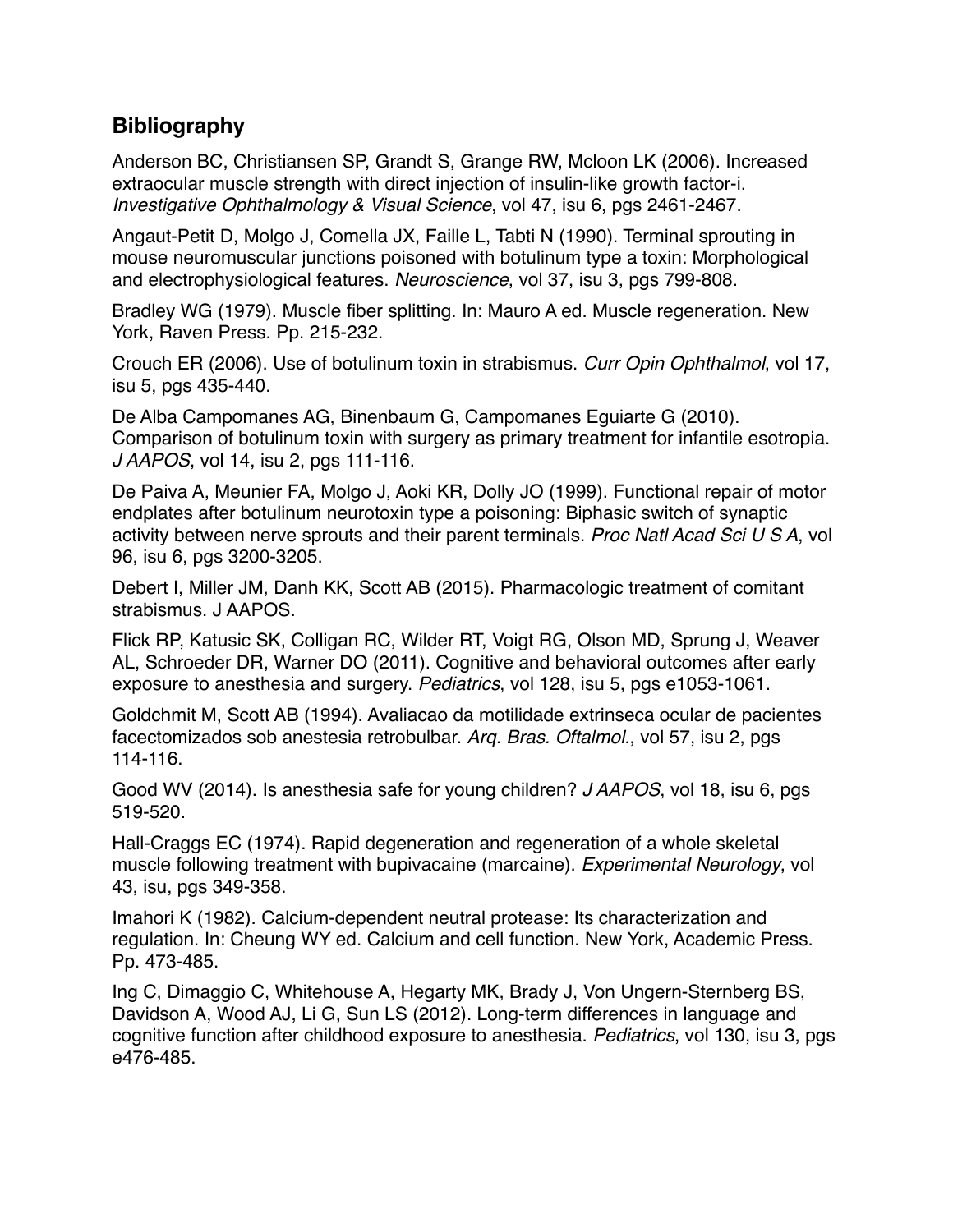### **Bibliography**

Anderson BC, Christiansen SP, Grandt S, Grange RW, Mcloon LK (2006). Increased extraocular muscle strength with direct injection of insulin-like growth factor-i. *Investigative Ophthalmology & Visual Science*, vol 47, isu 6, pgs 2461-2467.

Angaut-Petit D, Molgo J, Comella JX, Faille L, Tabti N (1990). Terminal sprouting in mouse neuromuscular junctions poisoned with botulinum type a toxin: Morphological and electrophysiological features. *Neuroscience*, vol 37, isu 3, pgs 799-808.

Bradley WG (1979). Muscle fiber splitting. In: Mauro A ed. Muscle regeneration. New York, Raven Press. Pp. 215-232.

Crouch ER (2006). Use of botulinum toxin in strabismus. *Curr Opin Ophthalmol*, vol 17, isu 5, pgs 435-440.

De Alba Campomanes AG, Binenbaum G, Campomanes Eguiarte G (2010). Comparison of botulinum toxin with surgery as primary treatment for infantile esotropia. *J AAPOS*, vol 14, isu 2, pgs 111-116.

De Paiva A, Meunier FA, Molgo J, Aoki KR, Dolly JO (1999). Functional repair of motor endplates after botulinum neurotoxin type a poisoning: Biphasic switch of synaptic activity between nerve sprouts and their parent terminals. *Proc Natl Acad Sci U S A*, vol 96, isu 6, pgs 3200-3205.

Debert I, Miller JM, Danh KK, Scott AB (2015). Pharmacologic treatment of comitant strabismus. J AAPOS.

Flick RP, Katusic SK, Colligan RC, Wilder RT, Voigt RG, Olson MD, Sprung J, Weaver AL, Schroeder DR, Warner DO (2011). Cognitive and behavioral outcomes after early exposure to anesthesia and surgery. *Pediatrics*, vol 128, isu 5, pgs e1053-1061.

Goldchmit M, Scott AB (1994). Avaliacao da motilidade extrinseca ocular de pacientes facectomizados sob anestesia retrobulbar. *Arq. Bras. Oftalmol.*, vol 57, isu 2, pgs 114-116.

Good WV (2014). Is anesthesia safe for young children? *J AAPOS*, vol 18, isu 6, pgs 519-520.

Hall-Craggs EC (1974). Rapid degeneration and regeneration of a whole skeletal muscle following treatment with bupivacaine (marcaine). *Experimental Neurology*, vol 43, isu, pgs 349-358.

Imahori K (1982). Calcium-dependent neutral protease: Its characterization and regulation. In: Cheung WY ed. Calcium and cell function. New York, Academic Press. Pp. 473-485.

Ing C, Dimaggio C, Whitehouse A, Hegarty MK, Brady J, Von Ungern-Sternberg BS, Davidson A, Wood AJ, Li G, Sun LS (2012). Long-term differences in language and cognitive function after childhood exposure to anesthesia. *Pediatrics*, vol 130, isu 3, pgs e476-485.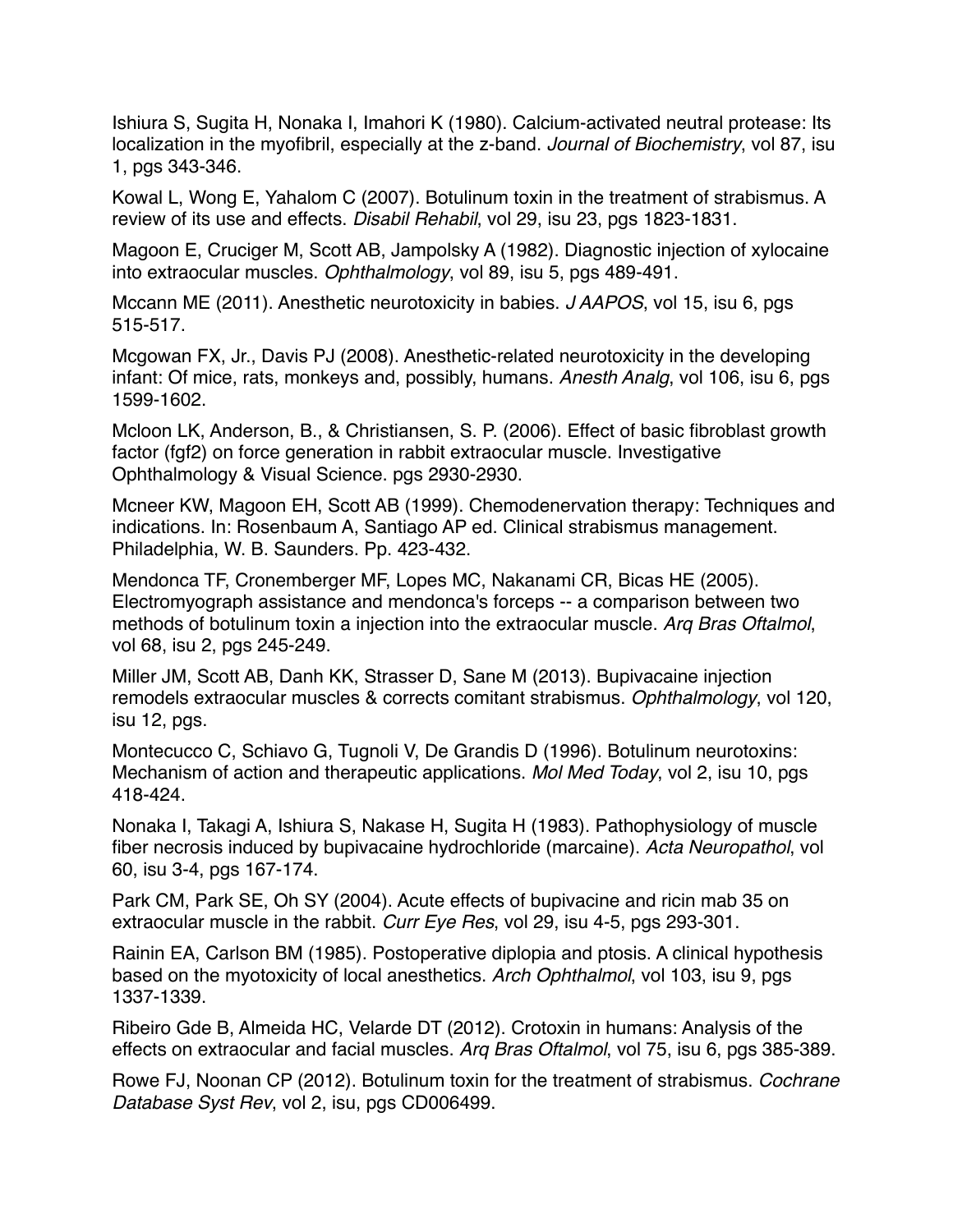Ishiura S, Sugita H, Nonaka I, Imahori K (1980). Calcium-activated neutral protease: Its localization in the myofibril, especially at the z-band. *Journal of Biochemistry*, vol 87, isu 1, pgs 343-346.

Kowal L, Wong E, Yahalom C (2007). Botulinum toxin in the treatment of strabismus. A review of its use and effects. *Disabil Rehabil*, vol 29, isu 23, pgs 1823-1831.

Magoon E, Cruciger M, Scott AB, Jampolsky A (1982). Diagnostic injection of xylocaine into extraocular muscles. *Ophthalmology*, vol 89, isu 5, pgs 489-491.

Mccann ME (2011). Anesthetic neurotoxicity in babies. *J AAPOS*, vol 15, isu 6, pgs 515-517.

Mcgowan FX, Jr., Davis PJ (2008). Anesthetic-related neurotoxicity in the developing infant: Of mice, rats, monkeys and, possibly, humans. *Anesth Analg*, vol 106, isu 6, pgs 1599-1602.

Mcloon LK, Anderson, B., & Christiansen, S. P. (2006). Effect of basic fibroblast growth factor (fgf2) on force generation in rabbit extraocular muscle. Investigative Ophthalmology & Visual Science. pgs 2930-2930.

Mcneer KW, Magoon EH, Scott AB (1999). Chemodenervation therapy: Techniques and indications. In: Rosenbaum A, Santiago AP ed. Clinical strabismus management. Philadelphia, W. B. Saunders. Pp. 423-432.

Mendonca TF, Cronemberger MF, Lopes MC, Nakanami CR, Bicas HE (2005). Electromyograph assistance and mendonca's forceps -- a comparison between two methods of botulinum toxin a injection into the extraocular muscle. *Arq Bras Oftalmol*, vol 68, isu 2, pgs 245-249.

Miller JM, Scott AB, Danh KK, Strasser D, Sane M (2013). Bupivacaine injection remodels extraocular muscles & corrects comitant strabismus. *Ophthalmology*, vol 120, isu 12, pgs.

Montecucco C, Schiavo G, Tugnoli V, De Grandis D (1996). Botulinum neurotoxins: Mechanism of action and therapeutic applications. *Mol Med Today*, vol 2, isu 10, pgs 418-424.

Nonaka I, Takagi A, Ishiura S, Nakase H, Sugita H (1983). Pathophysiology of muscle fiber necrosis induced by bupivacaine hydrochloride (marcaine). *Acta Neuropathol*, vol 60, isu 3-4, pgs 167-174.

Park CM, Park SE, Oh SY (2004). Acute effects of bupivacine and ricin mab 35 on extraocular muscle in the rabbit. *Curr Eye Res*, vol 29, isu 4-5, pgs 293-301.

Rainin EA, Carlson BM (1985). Postoperative diplopia and ptosis. A clinical hypothesis based on the myotoxicity of local anesthetics. *Arch Ophthalmol*, vol 103, isu 9, pgs 1337-1339.

Ribeiro Gde B, Almeida HC, Velarde DT (2012). Crotoxin in humans: Analysis of the effects on extraocular and facial muscles. *Arq Bras Oftalmol*, vol 75, isu 6, pgs 385-389.

Rowe FJ, Noonan CP (2012). Botulinum toxin for the treatment of strabismus. *Cochrane Database Syst Rev*, vol 2, isu, pgs CD006499.